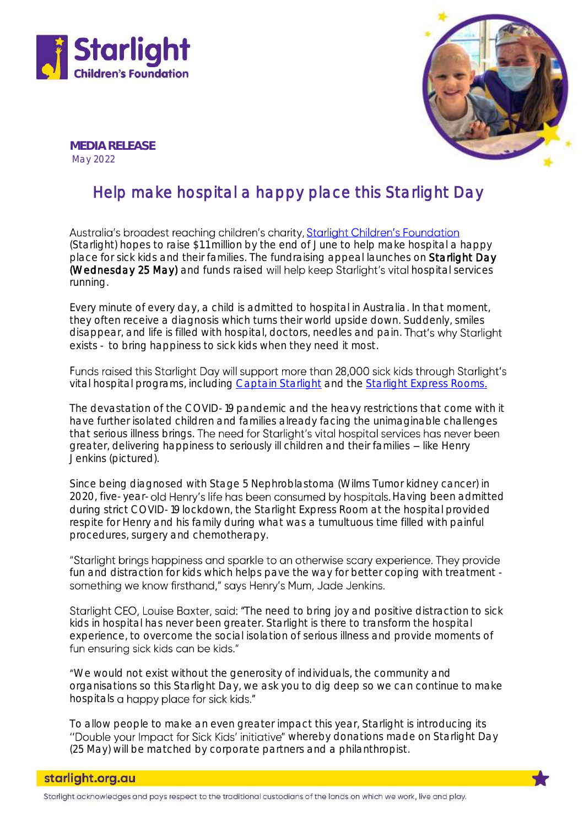



MEDIA RELEASE May 2022

## Help make hospital a happy place this Starlight Day

Australia's broadest reaching children's charity, Starlight Children's Foundation (Starlight) hopes to raise \$1.1 million by the end of June to help make hospital a happy place for sick kids and their families. The fundraising appeal launches on Starlight Day (Wednesday 25 May) and funds raised will help keep Starlight's vital hospital services running.

Every minute of every day, a child is admitted to hospital in Australia. In that moment, they often receive a diagnosis which turns their world upside down. Suddenly, smiles disappear, and life is filled with hospital, doctors, needles and pain. That's why Starlight exists - to bring happiness to sick kids when they need it most.

Funds raised this Starlight Day will support more than 28,000 sick kids through Starlight's vital hospital programs, including [Captain Starlight](https://www.starlight.org.au/about-us/what-we-do/captain-starlight) and the [Starlight Express Rooms](https://www.starlight.org.au/about-us/what-we-do/starlight-in-hospital/starlight-express-room).

The devastation of the COVID-19 pandemic and the heavy restrictions that come with it have further isolated children and families already facing the unimaginable challenges that serious illness brings. The need for Starlight's vital hospital services has never been greater, delivering happiness to seriously ill children and their families - like Henry Jenkins (pictured).

Since being diagnosed with Stage 5 Nephroblastoma (Wilms Tumor kidney cancer) in 2020, five-year-old Henry's life has been consumed by hospitals. Having been admitted during strict COVID-19 lockdown, the Starlight Express Room at the hospital provided respite for Henry and his family during what was a tumultuous time filled with painful procedures, surgery and chemotherapy.

"Starlight brings happiness and sparkle to an otherwise scary experience. They provide fun and distraction for kids which helps pave the way for better coping with treatment something we know firsthand," says Henry's Mum, Jade Jenkins.

Starlight CEO, Louise Baxter, said: "The need to bring joy and positive distraction to sick kids in hospital has never been greater. Starlight is there to transform the hospital experience, to overcome the social isolation of serious illness and provide moments of fun ensuring sick kids can be kids."

We would not exist without the generosity of individuals, the community and organisations so this Starlight Day, we ask you to dig deep so we can continue to make hospitals a happy place for sick kids."

To allow people to make an even greater impact this year, Starlight is introducing its "Double your Impact for Sick Kids' initiative" whereby donations made on Starlight Day (25 May) will be matched by corporate partners and a philanthropist.

Starlight acknowledges and pays respect to the traditional custodians of the lands on which we work, live and play.